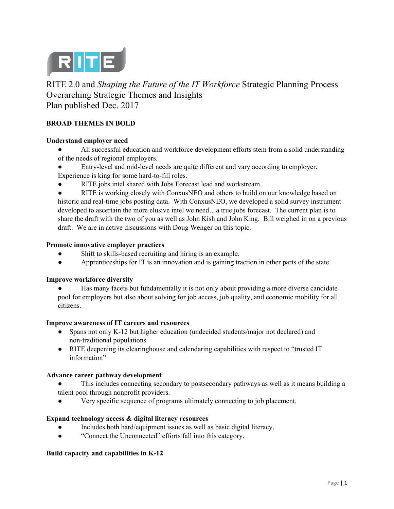

RITE 2.0 and *Shaping the Future of the IT Workforce* Strategic Planning Process Overarching Strategic Themes and Insights Plan published Dec. 2017

# **BROAD THEMES IN BOLD**

#### **Understand employer need**

- All successful education and workforce development efforts stem from a solid understanding of the needs of regional employers.
- Entry-level and mid-level needs are quite different and vary according to employer.
- Experience is king for some hard-to-fill roles.
- RITE jobs intel shared with Jobs Forecast lead and workstream.

• RITE is working closely with ConxusNEO and others to build on our knowledge based on historic and real-time jobs posting data. With ConxusNEO, we developed a solid survey instrument developed to ascertain the more elusive intel we need…a true jobs forecast. The current plan is to share the draft with the two of you as well as John Kish and John King. Bill weighed in on a previous draft. We are in active discussions with Doug Wenger on this topic.

#### **Promote innovative employer practices**

- Shift to skills-based recruiting and hiring is an example.
- Apprenticeships for IT is an innovation and is gaining traction in other parts of the state.

### **Improve workforce diversity**

Has many facets but fundamentally it is not only about providing a more diverse candidate pool for employers but also about solving for job access, job quality, and economic mobility for all citizens.

### **Improve awareness of IT careers and resources**

- Spans not only K-12 but higher education (undecided students/major not declared) and non-traditional populations
- RITE deepening its clearinghouse and calendaring capabilities with respect to "trusted IT information"

### **Advance career pathway development**

This includes connecting secondary to postsecondary pathways as well as it means building a talent pool through nonprofit providers.

Very specific sequence of programs ultimately connecting to job placement.

### **Expand technology access & digital literacy resources**

- Includes both hard/equipment issues as well as basic digital literacy.
- "Connect the Unconnected" efforts fall into this category.

#### **Build capacity and capabilities in K-12**